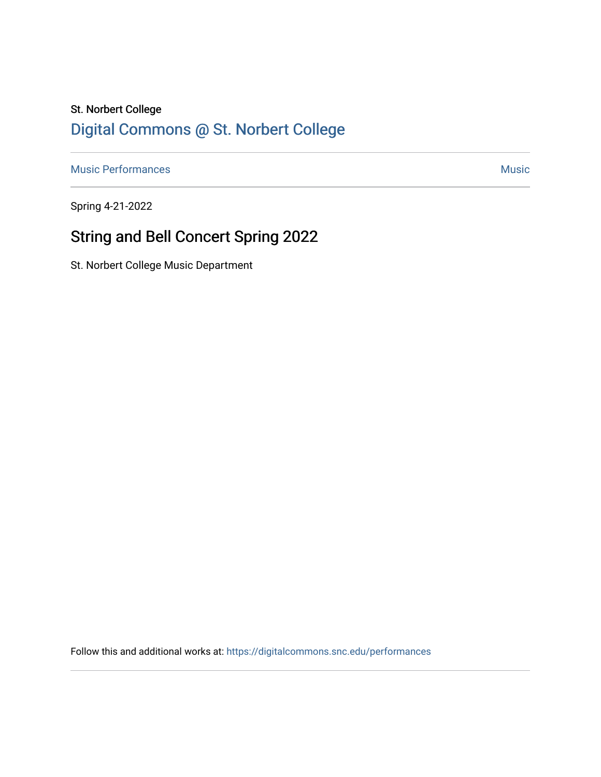## St. Norbert College [Digital Commons @ St. Norbert College](https://digitalcommons.snc.edu/)

[Music Performances](https://digitalcommons.snc.edu/performances) and the contract of the contract of the contract of the contract of the contract of the contract of the contract of the contract of the contract of the contract of the contract of the contract of the con

Spring 4-21-2022

# String and Bell Concert Spring 2022

St. Norbert College Music Department

Follow this and additional works at: [https://digitalcommons.snc.edu/performances](https://digitalcommons.snc.edu/performances?utm_source=digitalcommons.snc.edu%2Fperformances%2F173&utm_medium=PDF&utm_campaign=PDFCoverPages)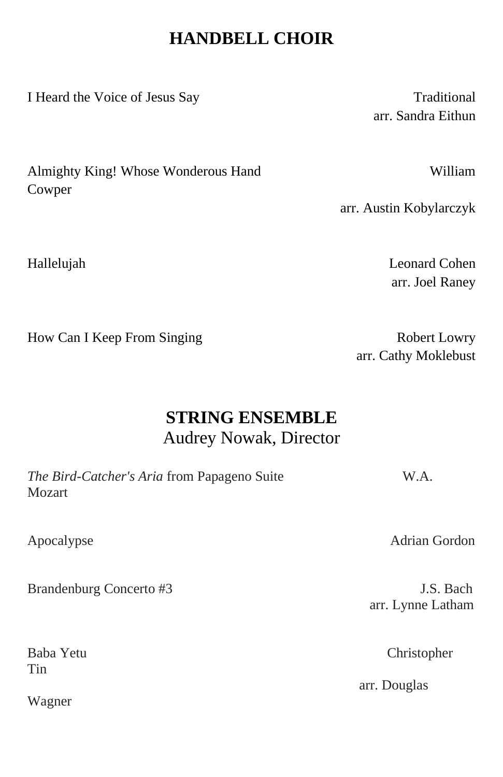## **HANDBELL CHOIR**

I Heard the Voice of Jesus Say Traditional

arr. Sandra Eithun

Almighty King! Whose Wonderous Hand William Cowper

arr. Austin Kobylarczyk

Hallelujah Leonard Cohen arr. Joel Raney

How Can I Keep From Singing Robert Lowry

arr. Cathy Moklebust

## **STRING ENSEMBLE** Audrey Nowak, Director

| The Bird-Catcher's Aria from Papageno Suite | W.A. |
|---------------------------------------------|------|
| Mozart                                      |      |
|                                             |      |

Brandenburg Concerto #3 J.S. Bach

Tin

Wagner

Apocalypse Adrian Gordon

arr. Lynne Latham

Baba Yetu Christopher

arr. Douglas